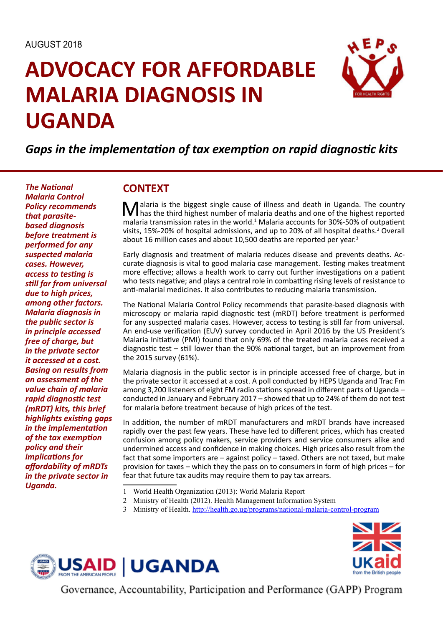# **ADVOCACY FOR AFFORDABLE MALARIA DIAGNOSIS IN UGANDA**



## *Gaps in the implementation of tax exemption on rapid diagnostic kits*

*The National Malaria Control Policy recommends that parasitebased diagnosis before treatment is performed for any suspected malaria cases. However, access to testing is still far from universal due to high prices, among other factors. Malaria diagnosis in the public sector is in principle accessed free of charge, but in the private sector it accessed at a cost. Basing on results from an assessment of the value chain of malaria rapid diagnostic test (mRDT) kits, this brief highlights existing gaps in the implementation of the tax exemption policy and their implications for affordability of mRDTs in the private sector in Uganda.*

#### **CONTEXT**

**Malaria** is the biggest single cause of illness and death in Uganda. The country has the third highest number of malaria deaths and one of the highest reported up also the magnetic function of the single strength of a 200 malaria transmission rates in the world.<sup>1</sup> Malaria accounts for 30%-50% of outpatient visits, 15%-20% of hospital admissions, and up to 20% of all hospital deaths.<sup>2</sup> Overall about 16 million cases and about 10,500 deaths are reported per year.<sup>3</sup>

Early diagnosis and treatment of malaria reduces disease and prevents deaths. Accurate diagnosis is vital to good malaria case management. Testing makes treatment more effective; allows a health work to carry out further investigations on a patient who tests negative; and plays a central role in combatting rising levels of resistance to anti-malarial medicines. It also contributes to reducing malaria transmission.

The National Malaria Control Policy recommends that parasite-based diagnosis with microscopy or malaria rapid diagnostic test (mRDT) before treatment is performed for any suspected malaria cases. However, access to testing is still far from universal. An end-use verification (EUV) survey conducted in April 2016 by the US President's Malaria Initiative (PMI) found that only 69% of the treated malaria cases received a diagnostic test – still lower than the 90% national target, but an improvement from the 2015 survey (61%).

Malaria diagnosis in the public sector is in principle accessed free of charge, but in the private sector it accessed at a cost. A poll conducted by HEPS Uganda and Trac Fm among 3,200 listeners of eight FM radio stations spread in different parts of Uganda – conducted in January and February 2017 – showed that up to 24% of them do not test for malaria before treatment because of high prices of the test.

In addition, the number of mRDT manufacturers and mRDT brands have increased rapidly over the past few years. These have led to different prices, which has created confusion among policy makers, service providers and service consumers alike and undermined access and confidence in making choices. High prices also result from the fact that some importers are – against policy – taxed. Others are not taxed, but make provision for taxes – which they the pass on to consumers in form of high prices – for fear that future tax audits may require them to pay tax arrears.

- 1 World Health Organization (2013): World Malaria Report
- 2 Ministry of Health (2012). Health Management Information System
- 3 Ministry of Health. http://health.go.ug/programs/national-malaria-control-program





Governance, Accountability, Participation and Performance (GAPP) Program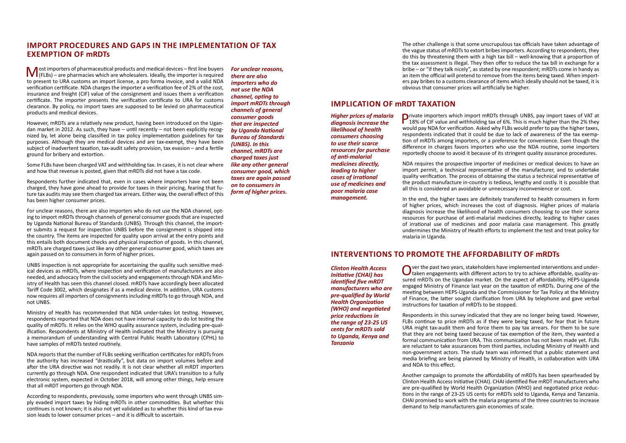Most importers of pharmaceutical products and medical devices – first line buyers<br>
(FLBs) – are pharmacies which are wholesalers. Ideally, the importer is required<br>
the importer is required to present to URA customs an import license, a pro forma invoice, and a valid NDA verification certificate. NDA charges the importer a verification fee of 2% of the cost, insurance and freight (CIF) value of the consignment and issues them a verification certificate. The importer presents the verification certificate to URA for customs clearance. By policy, no import taxes are supposed to be levied on pharmaceutical products and medical devices.

However, mRDTs are a relatively new product, having been introduced on the Ugandan market in 2012. As such, they have – until recently – not been explicitly recognized by, let alone being classified in tax policy implementation guidelines for tax purposes. Although they are medical devices and are tax-exempt, they have been subject of inadvertent taxation, tax-audit safety provision, tax evasion – and a fertile ground for bribery and extortion.

Some FLBs have been charged VAT and withholding tax. In cases, it is not clear where and how that revenue is posted, given that mRDTs did not have a tax code.

Respondents further indicated that, even in cases where importers have not been charged, they have gone ahead to provide for taxes in their pricing, fearing that future tax audits may see them charged tax arrears. Either way, the overall effect of this has been higher consumer prices.

For unclear reasons, there are also importers who do not use the NDA channel, opting to import mRDTs through channels of general consumer goods that are inspected by Uganda National Bureau of Standards (UNBS). Through this channel, the importer submits a request for inspection UNBS before the consignment is shipped into the country. The items are inspected for quality upon arrival at the entry points and this entails both document checks and physical inspection of goods. In this channel, mRDTs are charged taxes just like any other general consumer good, which taxes are again passed on to consumers in form of higher prices.

UNBS inspection is not appropriate for ascertaining the quality such sensitive medical devices as mRDTs, where inspection and verification of manufacturers are also needed, and advocacy from the civil society and engagements through NDA and Ministry of Health has seen this channel closed. mRDTs have accordingly been allocated Tariff Code 3002, which designates if as a medical device. In addition, URA customs now requires all importers of consignments including mRDTs to go through NDA, and not UNBS.

**Private importers which import mRDTs through UNBS, pay import taxes of VAT at 18% of CIF value and withholding tax of 6%. This is much higher than the 2% they usual through the could not the 200 they usual that the 200 th** would pay NDA for verification. Asked why FLBs would prefer to pay the higher taxes, respondents indicated that it could be due to lack of awareness of the tax exemption of mRDTs among importers, or a preference for convenience. Even though the difference in charges favors importers who use the NDA routine, some importers reportedly choose to avoid it because of its stringent quality assurance procedures.

Ministry of Health has recommended that NDA under-takes lot testing. However, respondents reported that NDA does not have internal capacity to do lot testing the quality of mRDTs. It relies on the WHO quality assurance system, including pre-qualification. Respondents at Ministry of Health indicated that the Ministry is pursuing a memorandum of understanding with Central Public Health Laboratory (CPHL) to have samples of mRDTs tested routinely.

NDA reports that the number of FLBs seeking verification certificates for mRDTs from the authority has increased "drastically", but data on import volumes before and after the URA directive was not readily. It is not clear whether all mRDT importers currently go through NDA. One respondent indicated that URA's transition to a fully electronic system, expected in October 2018, will among other things, help ensure that all mRDT importers go through NDA.

Over the past two years, stakeholders have implemented interventions and under-<br>taken engagements with different actors to try to achieve affordable, quality-assured mRDTs on the Ugandan market. On the aspect of affordability, HEPS-Uganda engaged Ministry of Finance last year on the taxation of mRDTs. During one of the meeting between HEPS-Uganda and the Commissioner for Tax Policy at the Ministry of Finance, the latter sought clarification from URA by telephone and gave verbal instructions for taxation of mRDTs to be stopped.

According to respondents, previously, some importers who went through UNBS simply evaded import taxes by hiding mRDTs in other commodities. But whether this continues is not known; it is also not yet validated as to whether this kind of tax evasion leads to lower consumer prices – and it is difficult to ascertain.

The other challenge is that some unscrupulous tax officials have taken advantage of the vague status of mRDTs to extort bribes importers. According to respondents, they do this by threatening them with a high tax bill – well-knowing that a proportion of the tax assessment is illegal. They then offer to reduce the tax bill in exchange for a bribe – or "if they talk nicely", as stated by one respondent; mRDTs come in handy as an item the official will pretend to remove from the items being taxed. When importers pay bribes to a customs clearance of items which ideally should not be taxed, it is obvious that consumer prices will artificially be higher.

### **Import procedures and gaps in the implementation of tax exemption of mRDTs**

*For unclear reasons, there are also importers who do not use the NDA channel, opting to import mRDTs through channels of general consumer goods that are inspected by Uganda National Bureau of Standards (UNBS). In this channel, mRDTs are charged taxes just like any other general consumer good, which taxes are again passed on to consumers in form of higher prices.*

#### **Implication of mRDT taxation**

NDA requires the prospective importer of medicines or medical devices to have an import permit, a technical representative of the manufacturer, and to undertake quality verification. The process of obtaining the status a technical representative of the product manufacture in-country is tedious, lengthy and costly. It is possible that all this is considered an avoidable or unnecessary inconvenience or cost.

In the end, the higher taxes are definitely transferred to health consumers in form of higher prices, which increases the cost of diagnosis. Higher prices of malaria diagnosis increase the likelihood of health consumers choosing to use their scarce resources for purchase of anti-malarial medicines directly, leading to higher cases of irrational use of medicines and poor malaria case management. This greatly undermines the Ministry of Health efforts to implement the test and treat policy for malaria in Uganda.

### **Interventions to promote the affordability of mRDTs**

Respondents in this survey indicated that they are no longer being taxed. However, FLBs continue to price mRDTs as if they were being taxed, for fear that in future URA might tax-audit them and force them to pay tax arrears. For them to be sure that they are not being taxed because of tax exemption of the item, they wanted a formal communication from URA. This communication has not been made yet. FLBs are reluctant to take assurances from third parties, including Ministry of Health and non-government actors. The study team was informed that a public statement and media briefing are being planned by Ministry of Health, in collaboration with URA and NDA to this effect.

Another campaign to promote the affordability of mRDTs has been spearheaded by Clinton Health Access Initiative (CHAI). CHAI identified five mRDT manufacturers who are pre-qualified by World Health Organization (WHO) and negotiated price reductions in the range of 23-25 US cents for mRDTs sold to Uganda, Kenya and Tanzania. CHAI promised to work with the malaria programs of the three countries to increase demand to help manufacturers gain economies of scale.

*Higher prices of malaria diagnosis increase the likelihood of health consumers choosing to use their scarce resources for purchase of anti-malarial medicines directly, leading to higher cases of irrational* 

*use of medicines and poor malaria case management.*

*Clinton Health Access Initiative (CHAI) has identified five mRDT manufacturers who are pre-qualified by World Health Organization (WHO) and negotiated price reductions in the range of 23-25 US cents for mRDTs sold to Uganda, Kenya and Tanzania*